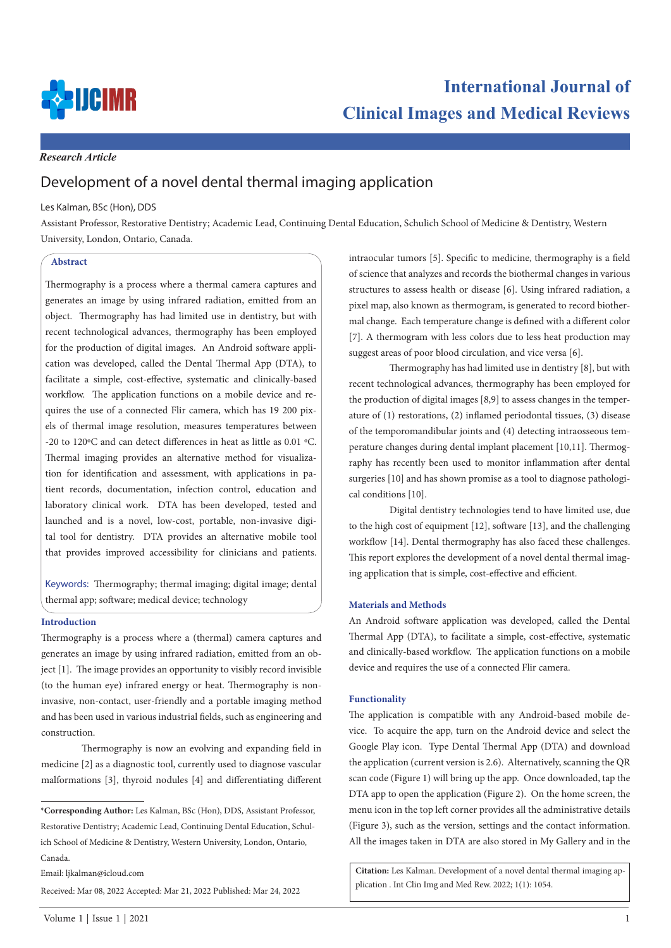

### *Research Article*

# Development of a novel dental thermal imaging application

## Les Kalman, BSc (Hon), DDS

Assistant Professor, Restorative Dentistry; Academic Lead, Continuing Dental Education, Schulich School of Medicine & Dentistry, Western University, London, Ontario, Canada.

#### **Abstract**

Thermography is a process where a thermal camera captures and generates an image by using infrared radiation, emitted from an object. Thermography has had limited use in dentistry, but with recent technological advances, thermography has been employed for the production of digital images. An Android software application was developed, called the Dental Thermal App (DTA), to facilitate a simple, cost-effective, systematic and clinically-based workflow. The application functions on a mobile device and requires the use of a connected Flir camera, which has 19 200 pixels of thermal image resolution, measures temperatures between -20 to 120ºC and can detect differences in heat as little as 0.01 ºC. Thermal imaging provides an alternative method for visualization for identification and assessment, with applications in patient records, documentation, infection control, education and laboratory clinical work. DTA has been developed, tested and launched and is a novel, low-cost, portable, non-invasive digital tool for dentistry. DTA provides an alternative mobile tool that provides improved accessibility for clinicians and patients.

Keywords: Thermography; thermal imaging; digital image; dental thermal app; software; medical device; technology

#### **Introduction**

Thermography is a process where a (thermal) camera captures and generates an image by using infrared radiation, emitted from an object [1]. The image provides an opportunity to visibly record invisible (to the human eye) infrared energy or heat. Thermography is noninvasive, non-contact, user-friendly and a portable imaging method and has been used in various industrial fields, such as engineering and construction.

Thermography is now an evolving and expanding field in medicine [2] as a diagnostic tool, currently used to diagnose vascular malformations [3], thyroid nodules [4] and differentiating different

Email: ljkalman@icloud.com

```
Received: Mar 08, 2022 Accepted: Mar 21, 2022 Published: Mar 24, 2022
```
intraocular tumors [5]. Specific to medicine, thermography is a field of science that analyzes and records the biothermal changes in various structures to assess health or disease [6]. Using infrared radiation, a pixel map, also known as thermogram, is generated to record biothermal change. Each temperature change is defined with a different color [7]. A thermogram with less colors due to less heat production may suggest areas of poor blood circulation, and vice versa [6].

Thermography has had limited use in dentistry [8], but with recent technological advances, thermography has been employed for the production of digital images [8,9] to assess changes in the temperature of (1) restorations, (2) inflamed periodontal tissues, (3) disease of the temporomandibular joints and (4) detecting intraosseous temperature changes during dental implant placement [10,11]. Thermography has recently been used to monitor inflammation after dental surgeries [10] and has shown promise as a tool to diagnose pathological conditions [10].

Digital dentistry technologies tend to have limited use, due to the high cost of equipment [12], software [13], and the challenging workflow [14]. Dental thermography has also faced these challenges. This report explores the development of a novel dental thermal imaging application that is simple, cost-effective and efficient.

#### **Materials and Methods**

An Android software application was developed, called the Dental Thermal App (DTA), to facilitate a simple, cost-effective, systematic and clinically-based workflow. The application functions on a mobile device and requires the use of a connected Flir camera.

#### **Functionality**

The application is compatible with any Android-based mobile device. To acquire the app, turn on the Android device and select the Google Play icon. Type Dental Thermal App (DTA) and download the application (current version is 2.6). Alternatively, scanning the QR scan code (Figure 1) will bring up the app. Once downloaded, tap the DTA app to open the application (Figure 2). On the home screen, the menu icon in the top left corner provides all the administrative details (Figure 3), such as the version, settings and the contact information. All the images taken in DTA are also stored in My Gallery and in the

**Citation:** Les Kalman. Development of a novel dental thermal imaging application . Int Clin Img and Med Rew. 2022; 1(1): 1054.

**<sup>\*</sup>Corresponding Author:** Les Kalman, BSc (Hon), DDS, Assistant Professor, Restorative Dentistry; Academic Lead, Continuing Dental Education, Schulich School of Medicine & Dentistry, Western University, London, Ontario, Canada.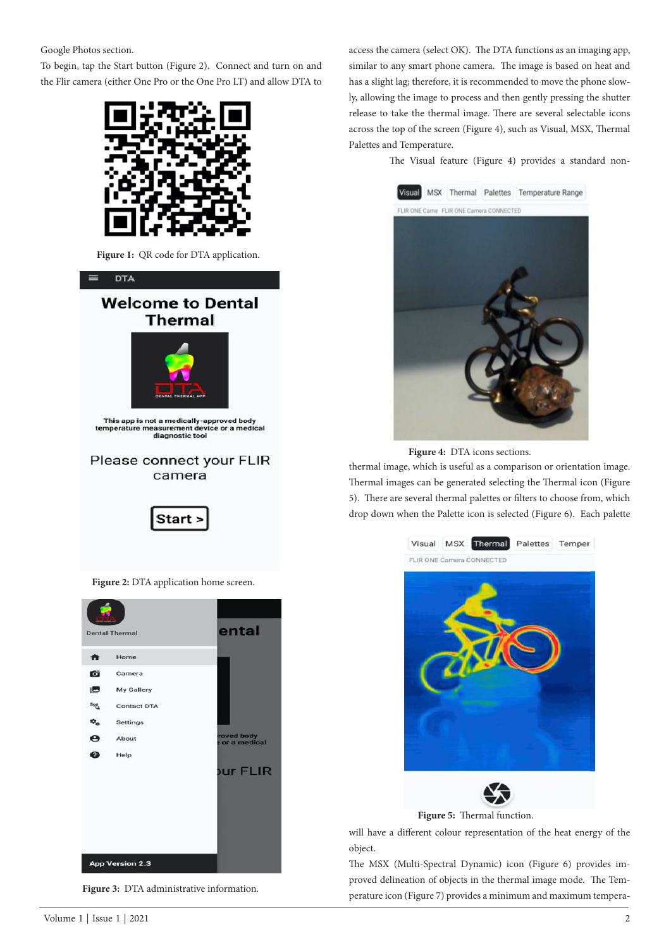Google Photos section.

To begin, tap the Start button (Figure 2). Connect and turn on and the Flir camera (either One Pro or the One Pro LT) and allow DTA to



**Figure 1:** QR code for DTA application.



**Figure 2:** DTA application home screen.



**Figure 3:** DTA administrative information.

access the camera (select OK). The DTA functions as an imaging app, similar to any smart phone camera. The image is based on heat and has a slight lag; therefore, it is recommended to move the phone slowly, allowing the image to process and then gently pressing the shutter release to take the thermal image. There are several selectable icons across the top of the screen (Figure 4), such as Visual, MSX, Thermal Palettes and Temperature.

The Visual feature (Figure 4) provides a standard non-



**Figure 4:** DTA icons sections.

thermal image, which is useful as a comparison or orientation image. Thermal images can be generated selecting the Thermal icon (Figure 5). There are several thermal palettes or filters to choose from, which drop down when the Palette icon is selected (Figure 6). Each palette



**Figure 5:** Thermal function.

will have a different colour representation of the heat energy of the object.

The MSX (Multi-Spectral Dynamic) icon (Figure 6) provides improved delineation of objects in the thermal image mode. The Temperature icon (Figure 7) provides a minimum and maximum tempera-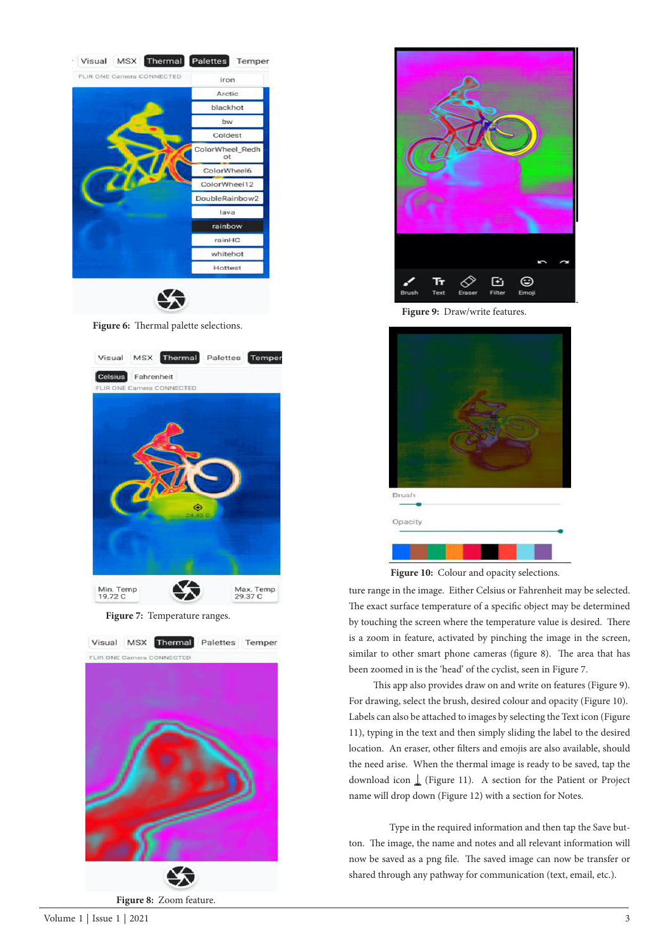

**Figure 7:** Temperature ranges.



**Figure 8:** Zoom feature.



**Figure 9:** Draw/write features.



Figure 10: Colour and opacity selections.

ture range in the image. Either Celsius or Fahrenheit may be selected. The exact surface temperature of a specific object may be determined by touching the screen where the temperature value is desired. There is a zoom in feature, activated by pinching the image in the screen, similar to other smart phone cameras (figure 8). The area that has been zoomed in is the 'head' of the cyclist, seen in Figure 7.

 This app also provides draw on and write on features (Figure 9). For drawing, select the brush, desired colour and opacity (Figure 10). Labels can also be attached to images by selecting the Text icon (Figure 11), typing in the text and then simply sliding the label to the desired location. An eraser, other filters and emojis are also available, should the need arise. When the thermal image is ready to be saved, tap the download icon ↓ (Figure 11). A section for the Patient or Project name will drop down (Figure 12) with a section for Notes.

Type in the required information and then tap the Save button. The image, the name and notes and all relevant information will now be saved as a png file. The saved image can now be transfer or shared through any pathway for communication (text, email, etc.).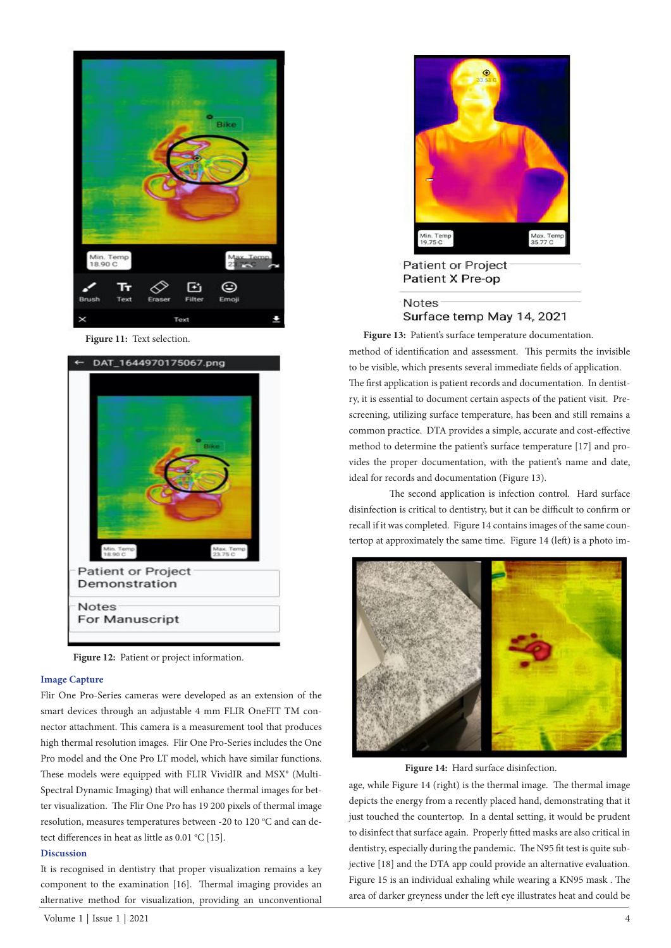



**Figure 12:** Patient or project information.

#### **Image Capture**

Flir One Pro-Series cameras were developed as an extension of the smart devices through an adjustable 4 mm FLIR OneFIT TM connector attachment. This camera is a measurement tool that produces high thermal resolution images. Flir One Pro-Series includes the One Pro model and the One Pro LT model, which have similar functions. These models were equipped with FLIR VividIR and MSX® (Multi-Spectral Dynamic Imaging) that will enhance thermal images for better visualization. The Flir One Pro has 19 200 pixels of thermal image resolution, measures temperatures between -20 to 120 °C and can detect differences in heat as little as  $0.01 \text{ °C}$  [15].

#### **Discussion**

It is recognised in dentistry that proper visualization remains a key component to the examination [16]. Thermal imaging provides an alternative method for visualization, providing an unconventional



**Patient or Project** Patient X Pre-op

# **Notes** Surface temp May 14, 2021

method of identification and assessment. This permits the invisible to be visible, which presents several immediate fields of application. The first application is patient records and documentation. In dentistry, it is essential to document certain aspects of the patient visit. Prescreening, utilizing surface temperature, has been and still remains a common practice. DTA provides a simple, accurate and cost-effective method to determine the patient's surface temperature [17] and provides the proper documentation, with the patient's name and date, ideal for records and documentation (Figure 13). Figure 11: Text selection. **Figure 13:** Patient's surface temperature documentation.

> The second application is infection control. Hard surface disinfection is critical to dentistry, but it can be difficult to confirm or recall if it was completed. Figure 14 contains images of the same countertop at approximately the same time. Figure 14 (left) is a photo im-



**Figure 14:** Hard surface disinfection.

age, while Figure 14 (right) is the thermal image. The thermal image depicts the energy from a recently placed hand, demonstrating that it just touched the countertop. In a dental setting, it would be prudent to disinfect that surface again. Properly fitted masks are also critical in dentistry, especially during the pandemic. The N95 fit test is quite subjective [18] and the DTA app could provide an alternative evaluation. Figure 15 is an individual exhaling while wearing a KN95 mask . The area of darker greyness under the left eye illustrates heat and could be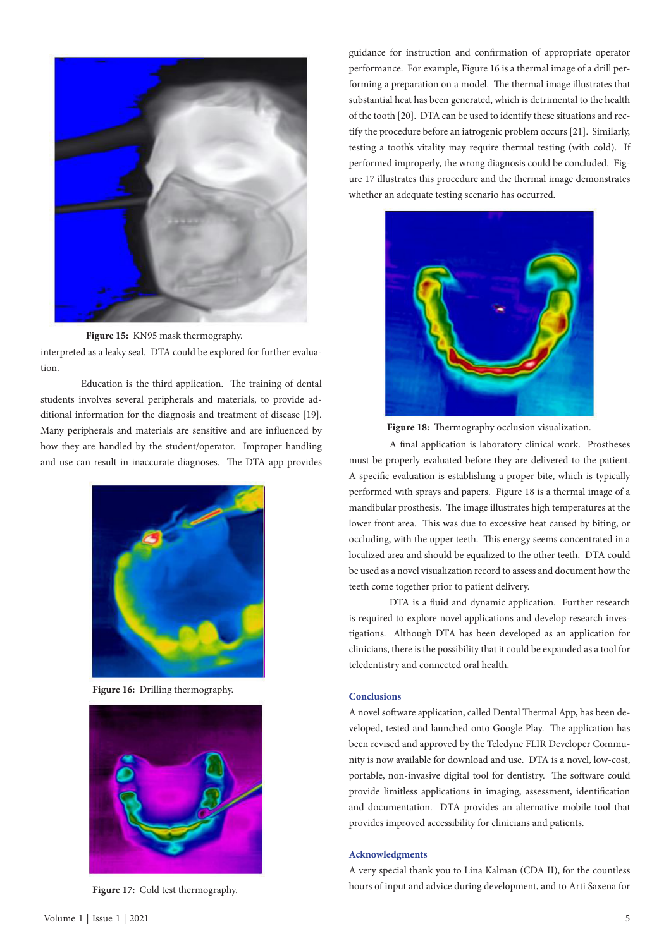

**Figure 15:** KN95 mask thermography.

interpreted as a leaky seal. DTA could be explored for further evaluation.

Education is the third application. The training of dental students involves several peripherals and materials, to provide additional information for the diagnosis and treatment of disease [19]. Many peripherals and materials are sensitive and are influenced by how they are handled by the student/operator. Improper handling and use can result in inaccurate diagnoses. The DTA app provides



**Figure 16:** Drilling thermography.



guidance for instruction and confirmation of appropriate operator performance. For example, Figure 16 is a thermal image of a drill performing a preparation on a model. The thermal image illustrates that substantial heat has been generated, which is detrimental to the health of the tooth [20]. DTA can be used to identify these situations and rectify the procedure before an iatrogenic problem occurs [21]. Similarly, testing a tooth's vitality may require thermal testing (with cold). If performed improperly, the wrong diagnosis could be concluded. Figure 17 illustrates this procedure and the thermal image demonstrates whether an adequate testing scenario has occurred.



**Figure 18:** Thermography occlusion visualization.

A final application is laboratory clinical work. Prostheses must be properly evaluated before they are delivered to the patient. A specific evaluation is establishing a proper bite, which is typically performed with sprays and papers. Figure 18 is a thermal image of a mandibular prosthesis. The image illustrates high temperatures at the lower front area. This was due to excessive heat caused by biting, or occluding, with the upper teeth. This energy seems concentrated in a localized area and should be equalized to the other teeth. DTA could be used as a novel visualization record to assess and document how the teeth come together prior to patient delivery.

DTA is a fluid and dynamic application. Further research is required to explore novel applications and develop research investigations. Although DTA has been developed as an application for clinicians, there is the possibility that it could be expanded as a tool for teledentistry and connected oral health.

# **Conclusions**

A novel software application, called Dental Thermal App, has been developed, tested and launched onto Google Play. The application has been revised and approved by the Teledyne FLIR Developer Community is now available for download and use. DTA is a novel, low-cost, portable, non-invasive digital tool for dentistry. The software could provide limitless applications in imaging, assessment, identification and documentation. DTA provides an alternative mobile tool that provides improved accessibility for clinicians and patients.

#### **Acknowledgments**

A very special thank you to Lina Kalman (CDA II), for the countless hours of input and advice during development, and to Arti Saxena for **Figure 17:** Cold test thermography.